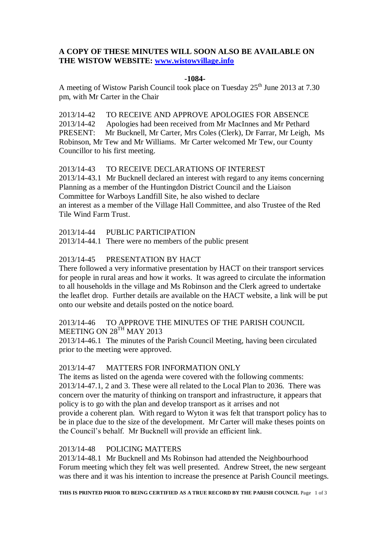# **A COPY OF THESE MINUTES WILL SOON ALSO BE AVAILABLE ON THE WISTOW WEBSITE: [www.wistowvillage.info](http://www.wistowvillage.info/)**

#### **-1084-**

A meeting of Wistow Parish Council took place on Tuesday  $25<sup>th</sup>$  June 2013 at 7.30 pm, with Mr Carter in the Chair

2013/14-42 TO RECEIVE AND APPROVE APOLOGIES FOR ABSENCE 2013/14-42 Apologies had been received from Mr MacInnes and Mr Pethard PRESENT: Mr Bucknell, Mr Carter, Mrs Coles (Clerk), Dr Farrar, Mr Leigh, Ms Robinson, Mr Tew and Mr Williams. Mr Carter welcomed Mr Tew, our County Councillor to his first meeting.

# 2013/14-43 TO RECEIVE DECLARATIONS OF INTEREST

2013/14-43.1 Mr Bucknell declared an interest with regard to any items concerning Planning as a member of the Huntingdon District Council and the Liaison Committee for Warboys Landfill Site, he also wished to declare an interest as a member of the Village Hall Committee, and also Trustee of the Red Tile Wind Farm Trust.

2013/14-44 PUBLIC PARTICIPATION

2013/14-44.1 There were no members of the public present

# 2013/14-45 PRESENTATION BY HACT

There followed a very informative presentation by HACT on their transport services for people in rural areas and how it works. It was agreed to circulate the information to all households in the village and Ms Robinson and the Clerk agreed to undertake the leaflet drop. Further details are available on the HACT website, a link will be put onto our website and details posted on the notice board.

# 2013/14-46 TO APPROVE THE MINUTES OF THE PARISH COUNCIL MEETING ON  $28^{TH}$  MAY 2013

2013/14-46.1 The minutes of the Parish Council Meeting, having been circulated prior to the meeting were approved.

### 2013/14-47 MATTERS FOR INFORMATION ONLY

The items as listed on the agenda were covered with the following comments: 2013/14-47.1, 2 and 3. These were all related to the Local Plan to 2036. There was concern over the maturity of thinking on transport and infrastructure, it appears that policy is to go with the plan and develop transport as it arrises and not provide a coherent plan. With regard to Wyton it was felt that transport policy has to be in place due to the size of the development. Mr Carter will make theses points on the Council's behalf. Mr Bucknell will provide an efficient link.

# 2013/14-48 POLICING MATTERS

2013/14-48.1 Mr Bucknell and Ms Robinson had attended the Neighbourhood Forum meeting which they felt was well presented. Andrew Street, the new sergeant was there and it was his intention to increase the presence at Parish Council meetings.

**THIS IS PRINTED PRIOR TO BEING CERTIFIED AS A TRUE RECORD BY THE PARISH COUNCIL** Page 1 of 3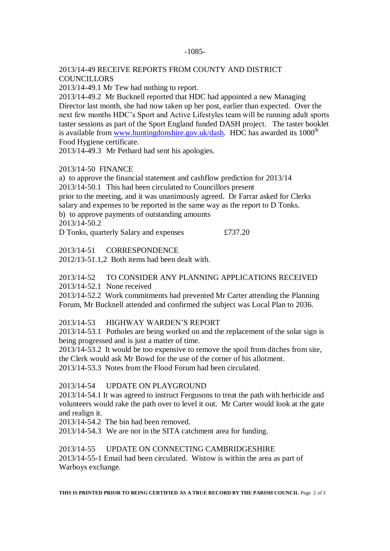#### -1085-

### 2013/14-49 RECEIVE REPORTS FROM COUNTY AND DISTRICT **COUNCILLORS**

2013/14-49.1 Mr Tew had nothing to report.

2013/14-49.2 Mr Bucknell reported that HDC had appointed a new Managing Director last month, she had now taken up her post, earlier than expected. Over the next few months HDC's Sport and Active Lifestyles team will be running adult sports taster sessions as part of the Sport England funded DASH project. The taster booklet is available from [www.huntingdonshire.gov.uk/dash.](http://www.huntingdonshire.gov.uk/dash) HDC has awarded its  $1000<sup>th</sup>$ Food Hygiene certificate.

2013/14-49.3 Mr Pethard had sent his apologies.

### 2013/14-50 FINANCE

a) to approve the financial statement and cashflow prediction for 2013/14 2013/14-50.1 This had been circulated to Councillors present prior to the meeting, and it was unanimously agreed. Dr Farrar asked for Clerks salary and expenses to be reported in the same way as the report to D Tonks. b) to approve payments of outstanding amounts 2013/14-50.2

D Tonks, quarterly Salary and expenses  $£737.20$ 

2013/14-51 CORRESPONDENCE

2012/13-51.1,2 Both items had been dealt with.

### 2013/14-52 TO CONSIDER ANY PLANNING APPLICATIONS RECEIVED 2013/14-52.1 None received

2013/14-52.2 Work commitments had prevented Mr Carter attending the Planning Forum, Mr Bucknell attended and confirmed the subject was Local Plan to 2036.

# 2013/14-53 HIGHWAY WARDEN'S REPORT

2013/14-53.1 Potholes are being worked on and the replacement of the solar sign is being progressed and is just a matter of time.

2013/14-53.2 It would be too expensive to remove the spoil from ditches from site, the Clerk would ask Mr Bowd for the use of the corner of his allotment.

2013/14-53.3 Notes from the Flood Forum had been circulated.

### 2013/14-54 UPDATE ON PLAYGROUND

2013/14-54.1 It was agreed to instruct Fergusons to treat the path with herbicide and volunteers would rake the path over to level it out. Mr Carter would look at the gate and realign it.

2013/14-54.2 The bin had been removed.

2013/14-54.3 We are not in the SITA catchment area for funding.

### 2013/14-55 UPDATE ON CONNECTING CAMBRIDGESHIRE

2013/14-55-1 Email had been circulated. Wistow is within the area as part of Warboys exchange.

**THIS IS PRINTED PRIOR TO BEING CERTIFIED AS A TRUE RECORD BY THE PARISH COUNCIL** Page 2 of 3